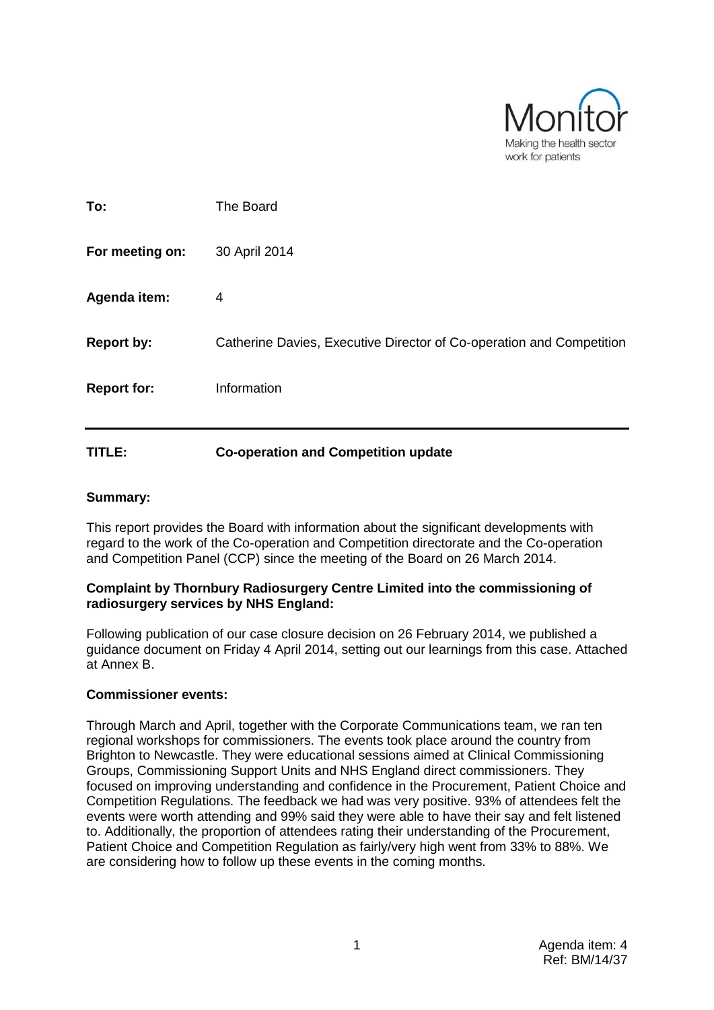

| TITLE:             | <b>Co-operation and Competition update</b>                           |
|--------------------|----------------------------------------------------------------------|
| <b>Report for:</b> | Information                                                          |
| <b>Report by:</b>  | Catherine Davies, Executive Director of Co-operation and Competition |
| Agenda item:       | 4                                                                    |
| For meeting on:    | 30 April 2014                                                        |
| To:                | The Board                                                            |

## **Summary:**

This report provides the Board with information about the significant developments with regard to the work of the Co-operation and Competition directorate and the Co-operation and Competition Panel (CCP) since the meeting of the Board on 26 March 2014.

### **Complaint by Thornbury Radiosurgery Centre Limited into the commissioning of radiosurgery services by NHS England:**

Following publication of our case closure decision on 26 February 2014, we published a guidance document on Friday 4 April 2014, setting out our learnings from this case. Attached at Annex B.

## **Commissioner events:**

Through March and April, together with the Corporate Communications team, we ran ten regional workshops for commissioners. The events took place around the country from Brighton to Newcastle. They were educational sessions aimed at Clinical Commissioning Groups, Commissioning Support Units and NHS England direct commissioners. They focused on improving understanding and confidence in the Procurement, Patient Choice and Competition Regulations. The feedback we had was very positive. 93% of attendees felt the events were worth attending and 99% said they were able to have their say and felt listened to. Additionally, the proportion of attendees rating their understanding of the Procurement, Patient Choice and Competition Regulation as fairly/very high went from 33% to 88%. We are considering how to follow up these events in the coming months.